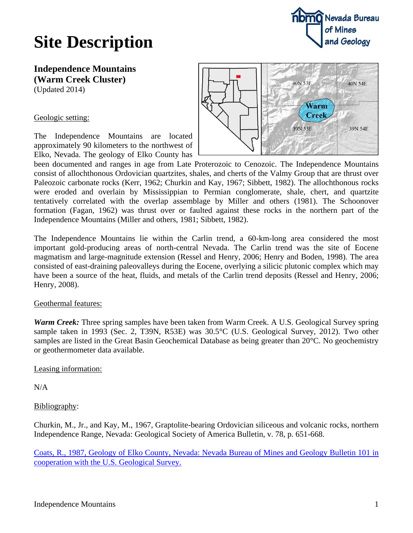

## **Site Description**

**Independence Mountains (Warm Creek Cluster)** (Updated 2014)

### Geologic setting:

The Independence Mountains are located approximately 90 kilometers to the northwest of Elko, Nevada. The geology of Elko County has



been documented and ranges in age from Late Proterozoic to Cenozoic. The Independence Mountains consist of allochthonous Ordovician quartzites, shales, and cherts of the Valmy Group that are thrust over Paleozoic carbonate rocks (Kerr, 1962; Churkin and Kay, 1967; Sibbett, 1982). The allochthonous rocks were eroded and overlain by Mississippian to Permian conglomerate, shale, chert, and quartzite tentatively correlated with the overlap assemblage by Miller and others (1981). The Schoonover formation (Fagan, 1962) was thrust over or faulted against these rocks in the northern part of the Independence Mountains (Miller and others, 1981; Sibbett, 1982).

The Independence Mountains lie within the Carlin trend, a 60-km-long area considered the most important gold-producing areas of north-central Nevada. The Carlin trend was the site of Eocene magmatism and large-magnitude extension (Ressel and Henry, 2006; Henry and Boden, 1998). The area consisted of east-draining paleovalleys during the Eocene, overlying a silicic plutonic complex which may have been a source of the heat, fluids, and metals of the Carlin trend deposits (Ressel and Henry, 2006; Henry, 2008).

#### Geothermal features:

*Warm Creek:* Three spring samples have been taken from Warm Creek. A U.S. Geological Survey spring sample taken in 1993 (Sec. 2, T39N, R53E) was 30.5°C (U.S. Geological Survey, 2012). Two other samples are listed in the Great Basin Geochemical Database as being greater than 20°C. No geochemistry or geothermometer data available.

#### Leasing information:

N/A

## Bibliography:

Churkin, M., Jr., and Kay, M., 1967, Graptolite-bearing Ordovician siliceous and volcanic rocks, northern Independence Range, Nevada: Geological Society of America Bulletin, v. 78, p. 651-668.

[Coats, R., 1987, Geology of Elko County, Nevada: Nevada Bureau of Mines and Geology Bulletin 101 in](http://www.nbmg.unr.edu/dox/b101_text.pdf)  [cooperation with the U.S. Geological Survey.](http://www.nbmg.unr.edu/dox/b101_text.pdf)